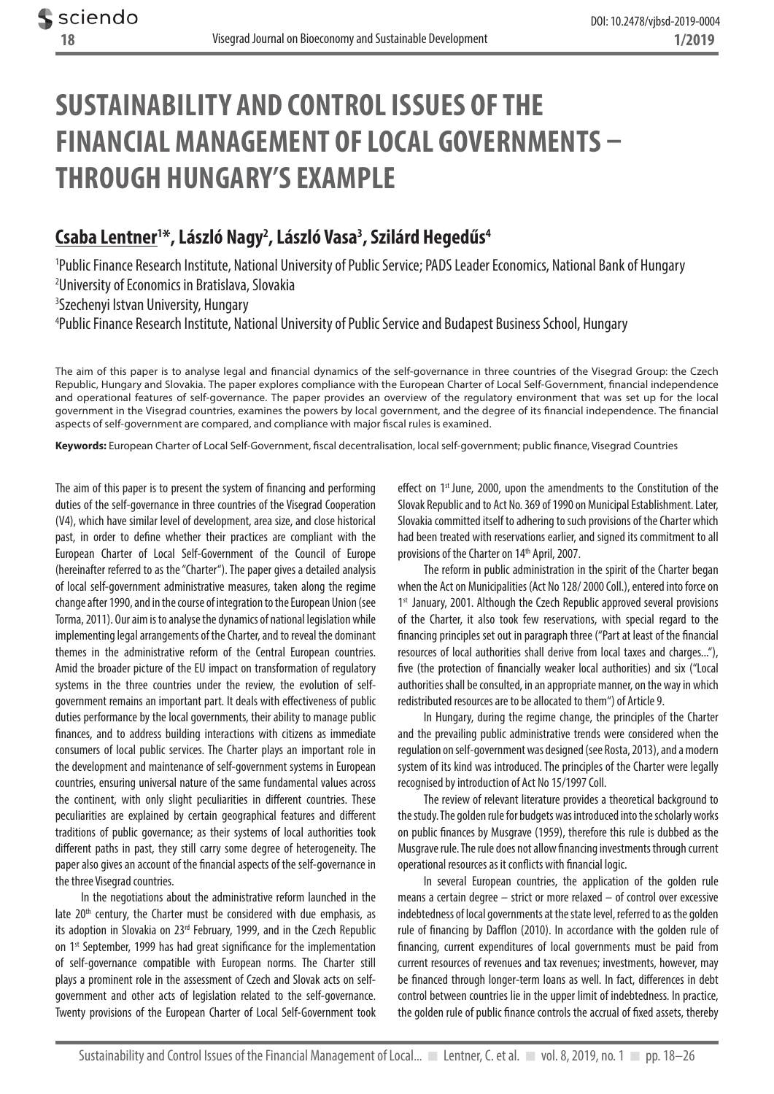# **SUSTAINABILITY AND CONTROL ISSUES OF THE FINANCIAL MANAGEMENT OF LOCAL GOVERNMENTS – THROUGH HUNGARY'S EXAMPLE**

# **Csaba Lentner1 \*, László Nagy2 , László Vasa3 , Szilárd Hegedűs4**

1 Public Finance Research Institute, National University of Public Service; PADS Leader Economics, National Bank of Hungary 2 University of Economics in Bratislava, Slovakia 3 Szechenyi Istvan University, Hungary

4 Public Finance Research Institute, National University of Public Service and Budapest Business School, Hungary

The aim of this paper is to analyse legal and financial dynamics of the self-governance in three countries of the Visegrad Group: the Czech Republic, Hungary and Slovakia. The paper explores compliance with the European Charter of Local Self-Government, financial independence and operational features of self-governance. The paper provides an overview of the regulatory environment that was set up for the local government in the Visegrad countries, examines the powers by local government, and the degree of its financial independence. The financial aspects of self-government are compared, and compliance with major fiscal rules is examined.

**Keywords:** European Charter of Local Self-Government, fiscal decentralisation, local self-government; public finance, Visegrad Countries

The aim of this paper is to present the system of financing and performing duties of the self-governance in three countries of the Visegrad Cooperation (V4), which have similar level of development, area size, and close historical past, in order to define whether their practices are compliant with the European Charter of Local Self-Government of the Council of Europe (hereinafter referred to as the "Charter"). The paper gives a detailed analysis of local self-government administrative measures, taken along the regime change after 1990, and in the course of integration to the European Union (see Torma, 2011). Our aim is to analyse the dynamics of national legislation while implementing legal arrangements of the Charter, and to reveal the dominant themes in the administrative reform of the Central European countries. Amid the broader picture of the EU impact on transformation of regulatory systems in the three countries under the review, the evolution of selfgovernment remains an important part. It deals with effectiveness of public duties performance by the local governments, their ability to manage public finances, and to address building interactions with citizens as immediate consumers of local public services. The Charter plays an important role in the development and maintenance of self-government systems in European countries, ensuring universal nature of the same fundamental values across the continent, with only slight peculiarities in different countries. These peculiarities are explained by certain geographical features and different traditions of public governance; as their systems of local authorities took different paths in past, they still carry some degree of heterogeneity. The paper also gives an account of the financial aspects of the self-governance in the three Visegrad countries.

In the negotiations about the administrative reform launched in the late  $20<sup>th</sup>$  century, the Charter must be considered with due emphasis, as its adoption in Slovakia on 23rd February, 1999, and in the Czech Republic on 1<sup>st</sup> September, 1999 has had great significance for the implementation of self-governance compatible with European norms. The Charter still plays a prominent role in the assessment of Czech and Slovak acts on selfgovernment and other acts of legislation related to the self-governance. Twenty provisions of the European Charter of Local Self-Government took

effect on 1<sup>st</sup> June, 2000, upon the amendments to the Constitution of the Slovak Republic and to Act No. 369 of 1990 on Municipal Establishment. Later, Slovakia committed itself to adhering to such provisions of the Charter which had been treated with reservations earlier, and signed its commitment to all provisions of the Charter on 14<sup>th</sup> April, 2007.

The reform in public administration in the spirit of the Charter began when the Act on Municipalities (Act No 128/ 2000 Coll.), entered into force on 1<sup>st</sup> January, 2001. Although the Czech Republic approved several provisions of the Charter, it also took few reservations, with special regard to the financing principles set out in paragraph three ("Part at least of the financial resources of local authorities shall derive from local taxes and charges..."), five (the protection of financially weaker local authorities) and six ("Local authorities shall be consulted, in an appropriate manner, on the way in which redistributed resources are to be allocated to them") of Article 9.

In Hungary, during the regime change, the principles of the Charter and the prevailing public administrative trends were considered when the regulation on self-government was designed (see Rosta, 2013), and a modern system of its kind was introduced. The principles of the Charter were legally recognised by introduction of Act No 15/1997 Coll.

The review of relevant literature provides a theoretical background to the study. The golden rule for budgets was introduced into the scholarly works on public finances by Musgrave (1959), therefore this rule is dubbed as the Musgrave rule. The rule does not allow financing investments through current operational resources as it conflicts with financial logic.

In several European countries, the application of the golden rule means a certain degree – strict or more relaxed – of control over excessive indebtedness of local governments at the state level, referred to as the golden rule of financing by Dafflon (2010). In accordance with the golden rule of financing, current expenditures of local governments must be paid from current resources of revenues and tax revenues; investments, however, may be financed through longer-term loans as well. In fact, differences in debt control between countries lie in the upper limit of indebtedness. In practice, the golden rule of public finance controls the accrual of fixed assets, thereby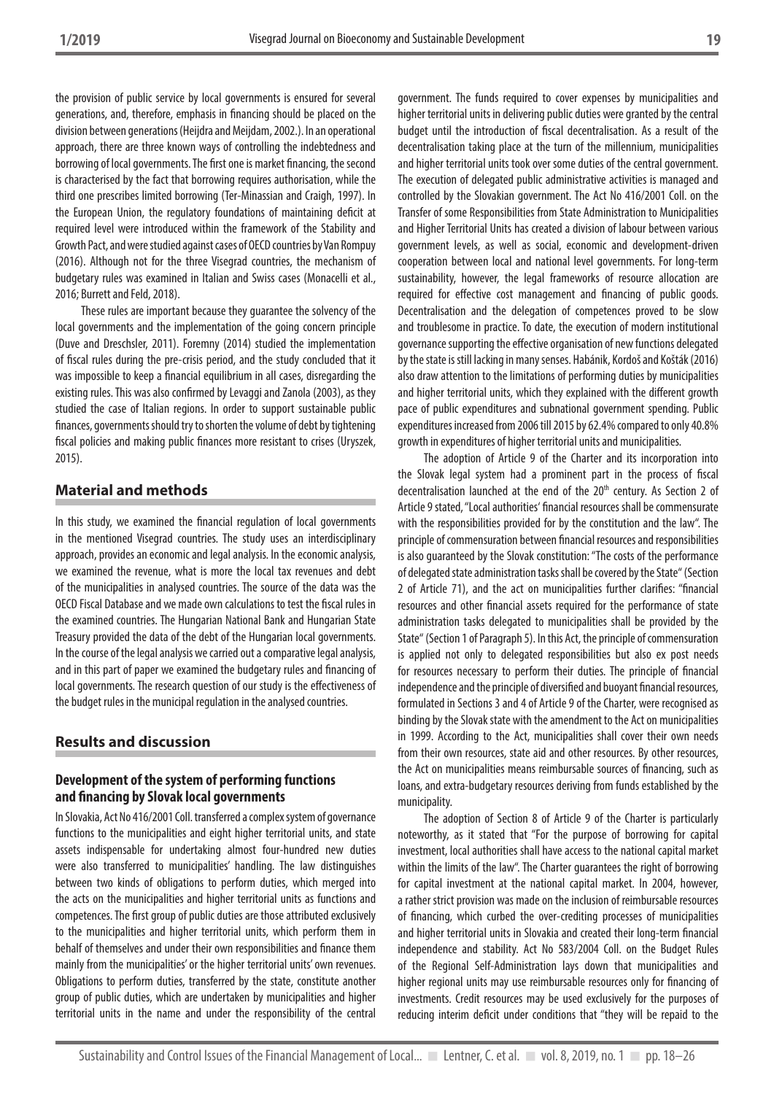the provision of public service by local governments is ensured for several generations, and, therefore, emphasis in financing should be placed on the division between generations (Heijdra and Meijdam, 2002.). In an operational approach, there are three known ways of controlling the indebtedness and borrowing of local governments. The first one is market financing, the second is characterised by the fact that borrowing requires authorisation, while the third one prescribes limited borrowing (Ter-Minassian and Craigh, 1997). In the European Union, the regulatory foundations of maintaining deficit at required level were introduced within the framework of the Stability and Growth Pact, and were studied against cases of OECD countries by Van Rompuy (2016). Although not for the three Visegrad countries, the mechanism of budgetary rules was examined in Italian and Swiss cases (Monacelli et al., 2016; Burrett and Feld, 2018).

These rules are important because they guarantee the solvency of the local governments and the implementation of the going concern principle (Duve and Dreschsler, 2011). Foremny (2014) studied the implementation of fiscal rules during the pre-crisis period, and the study concluded that it was impossible to keep a financial equilibrium in all cases, disregarding the existing rules. This was also confirmed by Levaggi and Zanola (2003), as they studied the case of Italian regions. In order to support sustainable public finances, governments should try to shorten the volume of debt by tightening fiscal policies and making public finances more resistant to crises (Uryszek, 2015).

### **Material and methods**

In this study, we examined the financial regulation of local governments in the mentioned Visegrad countries. The study uses an interdisciplinary approach, provides an economic and legal analysis. In the economic analysis, we examined the revenue, what is more the local tax revenues and debt of the municipalities in analysed countries. The source of the data was the OECD Fiscal Database and we made own calculations to test the fiscal rules in the examined countries. The Hungarian National Bank and Hungarian State Treasury provided the data of the debt of the Hungarian local governments. In the course of the legal analysis we carried out a comparative legal analysis, and in this part of paper we examined the budgetary rules and financing of local governments. The research question of our study is the effectiveness of the budget rules in the municipal regulation in the analysed countries.

## **Results and discussion**

### **Development of the system of performing functions and financing by Slovak local governments**

In Slovakia, Act No 416/2001 Coll. transferred a complex system of governance functions to the municipalities and eight higher territorial units, and state assets indispensable for undertaking almost four-hundred new duties were also transferred to municipalities' handling. The law distinguishes between two kinds of obligations to perform duties, which merged into the acts on the municipalities and higher territorial units as functions and competences. The first group of public duties are those attributed exclusively to the municipalities and higher territorial units, which perform them in behalf of themselves and under their own responsibilities and finance them mainly from the municipalities' or the higher territorial units' own revenues. Obligations to perform duties, transferred by the state, constitute another group of public duties, which are undertaken by municipalities and higher territorial units in the name and under the responsibility of the central

government. The funds required to cover expenses by municipalities and higher territorial units in delivering public duties were granted by the central budget until the introduction of fiscal decentralisation. As a result of the decentralisation taking place at the turn of the millennium, municipalities and higher territorial units took over some duties of the central government. The execution of delegated public administrative activities is managed and controlled by the Slovakian government. The Act No 416/2001 Coll. on the Transfer of some Responsibilities from State Administration to Municipalities and Higher Territorial Units has created a division of labour between various government levels, as well as social, economic and development-driven cooperation between local and national level governments. For long-term sustainability, however, the legal frameworks of resource allocation are required for effective cost management and financing of public goods. Decentralisation and the delegation of competences proved to be slow and troublesome in practice. To date, the execution of modern institutional governance supporting the effective organisation of new functions delegated by the state is still lacking in many senses. Habánik, Kordoš and Košták (2016) also draw attention to the limitations of performing duties by municipalities and higher territorial units, which they explained with the different growth pace of public expenditures and subnational government spending. Public expenditures increased from 2006 till 2015 by 62.4% compared to only 40.8% growth in expenditures of higher territorial units and municipalities.

The adoption of Article 9 of the Charter and its incorporation into the Slovak legal system had a prominent part in the process of fiscal decentralisation launched at the end of the 20<sup>th</sup> century. As Section 2 of Article 9 stated, "Local authorities' financial resources shall be commensurate with the responsibilities provided for by the constitution and the law". The principle of commensuration between financial resources and responsibilities is also guaranteed by the Slovak constitution: "The costs of the performance of delegated state administration tasks shall be covered by the State" (Section 2 of Article 71), and the act on municipalities further clarifies: "financial resources and other financial assets required for the performance of state administration tasks delegated to municipalities shall be provided by the State" (Section 1 of Paragraph 5). In this Act, the principle of commensuration is applied not only to delegated responsibilities but also ex post needs for resources necessary to perform their duties. The principle of financial independence and the principle of diversified and buoyant financial resources, formulated in Sections 3 and 4 of Article 9 of the Charter, were recognised as binding by the Slovak state with the amendment to the Act on municipalities in 1999. According to the Act, municipalities shall cover their own needs from their own resources, state aid and other resources. By other resources, the Act on municipalities means reimbursable sources of financing, such as loans, and extra-budgetary resources deriving from funds established by the municipality.

The adoption of Section 8 of Article 9 of the Charter is particularly noteworthy, as it stated that "For the purpose of borrowing for capital investment, local authorities shall have access to the national capital market within the limits of the law". The Charter guarantees the right of borrowing for capital investment at the national capital market. In 2004, however, a rather strict provision was made on the inclusion of reimbursable resources of financing, which curbed the over-crediting processes of municipalities and higher territorial units in Slovakia and created their long-term financial independence and stability. Act No 583/2004 Coll. on the Budget Rules of the Regional Self-Administration lays down that municipalities and higher regional units may use reimbursable resources only for financing of investments. Credit resources may be used exclusively for the purposes of reducing interim deficit under conditions that "they will be repaid to the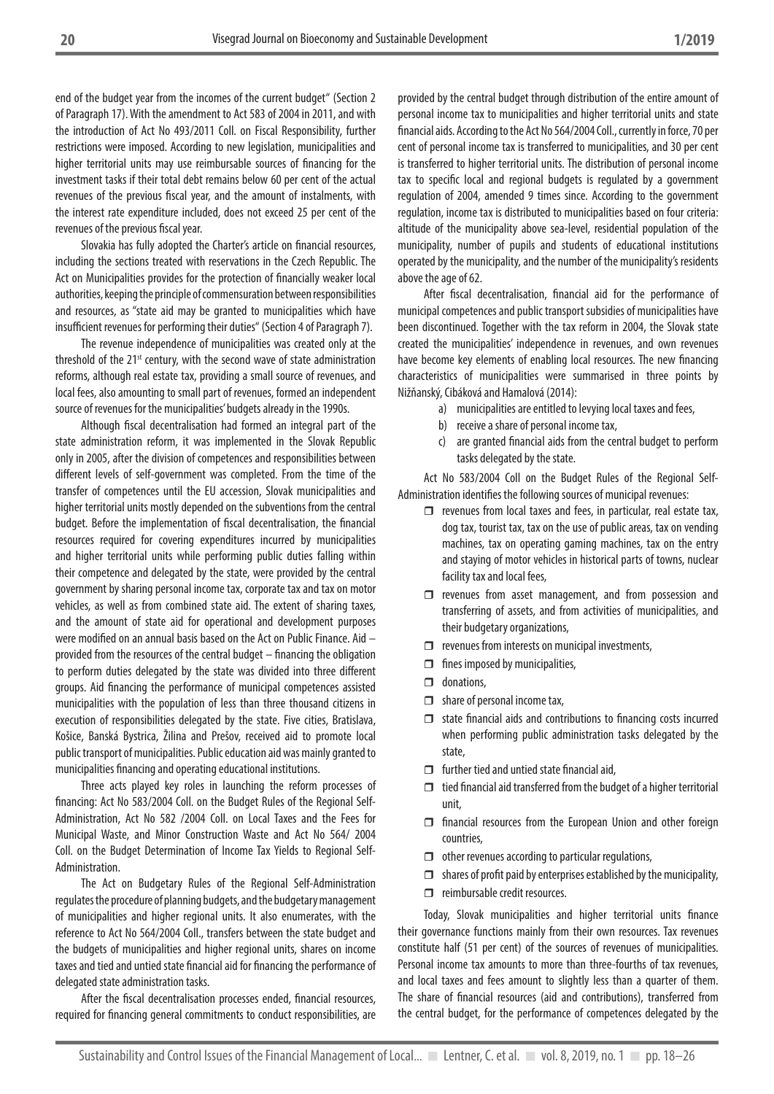end of the budget year from the incomes of the current budget" (Section 2 of Paragraph 17). With the amendment to Act 583 of 2004 in 2011, and with the introduction of Act No 493/2011 Coll. on Fiscal Responsibility, further restrictions were imposed. According to new legislation, municipalities and higher territorial units may use reimbursable sources of financing for the investment tasks if their total debt remains below 60 per cent of the actual revenues of the previous fiscal year, and the amount of instalments, with the interest rate expenditure included, does not exceed 25 per cent of the revenues of the previous fiscal year.

Slovakia has fully adopted the Charter's article on financial resources, including the sections treated with reservations in the Czech Republic. The Act on Municipalities provides for the protection of financially weaker local authorities, keeping the principle of commensuration between responsibilities and resources, as "state aid may be granted to municipalities which have insufficient revenues for performing their duties" (Section 4 of Paragraph 7).

The revenue independence of municipalities was created only at the threshold of the 21<sup>st</sup> century, with the second wave of state administration reforms, although real estate tax, providing a small source of revenues, and local fees, also amounting to small part of revenues, formed an independent source of revenues for the municipalities' budgets already in the 1990s.

Although fiscal decentralisation had formed an integral part of the state administration reform, it was implemented in the Slovak Republic only in 2005, after the division of competences and responsibilities between different levels of self-government was completed. From the time of the transfer of competences until the EU accession, Slovak municipalities and higher territorial units mostly depended on the subventions from the central budget. Before the implementation of fiscal decentralisation, the financial resources required for covering expenditures incurred by municipalities and higher territorial units while performing public duties falling within their competence and delegated by the state, were provided by the central government by sharing personal income tax, corporate tax and tax on motor vehicles, as well as from combined state aid. The extent of sharing taxes, and the amount of state aid for operational and development purposes were modified on an annual basis based on the Act on Public Finance. Aid – provided from the resources of the central budget – financing the obligation to perform duties delegated by the state was divided into three different groups. Aid financing the performance of municipal competences assisted municipalities with the population of less than three thousand citizens in execution of responsibilities delegated by the state. Five cities, Bratislava, Košice, Banská Bystrica, Žilina and Prešov, received aid to promote local public transport of municipalities. Public education aid was mainly granted to municipalities financing and operating educational institutions.

Three acts played key roles in launching the reform processes of financing: Act No 583/2004 Coll. on the Budget Rules of the Regional Self-Administration, Act No 582 /2004 Coll. on Local Taxes and the Fees for Municipal Waste, and Minor Construction Waste and Act No 564/ 2004 Coll. on the Budget Determination of Income Tax Yields to Regional Self-Administration.

The Act on Budgetary Rules of the Regional Self-Administration regulates the procedure of planning budgets, and the budgetary management of municipalities and higher regional units. It also enumerates, with the reference to Act No 564/2004 Coll., transfers between the state budget and the budgets of municipalities and higher regional units, shares on income taxes and tied and untied state financial aid for financing the performance of delegated state administration tasks.

After the fiscal decentralisation processes ended, financial resources, required for financing general commitments to conduct responsibilities, are

provided by the central budget through distribution of the entire amount of personal income tax to municipalities and higher territorial units and state financial aids. According to the Act No 564/2004 Coll., currently in force, 70 per cent of personal income tax is transferred to municipalities, and 30 per cent is transferred to higher territorial units. The distribution of personal income tax to specific local and regional budgets is regulated by a government regulation of 2004, amended 9 times since. According to the government regulation, income tax is distributed to municipalities based on four criteria: altitude of the municipality above sea-level, residential population of the municipality, number of pupils and students of educational institutions operated by the municipality, and the number of the municipality's residents above the age of 62.

After fiscal decentralisation, financial aid for the performance of municipal competences and public transport subsidies of municipalities have been discontinued. Together with the tax reform in 2004, the Slovak state created the municipalities' independence in revenues, and own revenues have become key elements of enabling local resources. The new financing characteristics of municipalities were summarised in three points by Nižňanský, Cibáková and Hamalová (2014):

- a) municipalities are entitled to levying local taxes and fees,
	- b) receive a share of personal income tax,
	- c) are granted financial aids from the central budget to perform tasks delegated by the state.

Act No 583/2004 Coll on the Budget Rules of the Regional Self-Administration identifies the following sources of municipal revenues:

- $\Box$  revenues from local taxes and fees, in particular, real estate tax, dog tax, tourist tax, tax on the use of public areas, tax on vending machines, tax on operating gaming machines, tax on the entry and staying of motor vehicles in historical parts of towns, nuclear facility tax and local fees,
- $\Box$  revenues from asset management, and from possession and transferring of assets, and from activities of municipalities, and their budgetary organizations,
- $\Box$  revenues from interests on municipal investments,
- $\Box$  fines imposed by municipalities,
- $\Box$  donations,
- $\Box$  share of personal income tax,
- $\Box$  state financial aids and contributions to financing costs incurred when performing public administration tasks delegated by the state,
- $\Box$  further tied and untied state financial aid,
- $\Box$  tied financial aid transferred from the budget of a higher territorial unit,
- $\Box$  financial resources from the European Union and other foreign countries,
- $\Box$  other revenues according to particular regulations,
- $\Box$  shares of profit paid by enterprises established by the municipality,
- $\Box$  reimbursable credit resources.

Today, Slovak municipalities and higher territorial units finance their governance functions mainly from their own resources. Tax revenues constitute half (51 per cent) of the sources of revenues of municipalities. Personal income tax amounts to more than three-fourths of tax revenues, and local taxes and fees amount to slightly less than a quarter of them. The share of financial resources (aid and contributions), transferred from the central budget, for the performance of competences delegated by the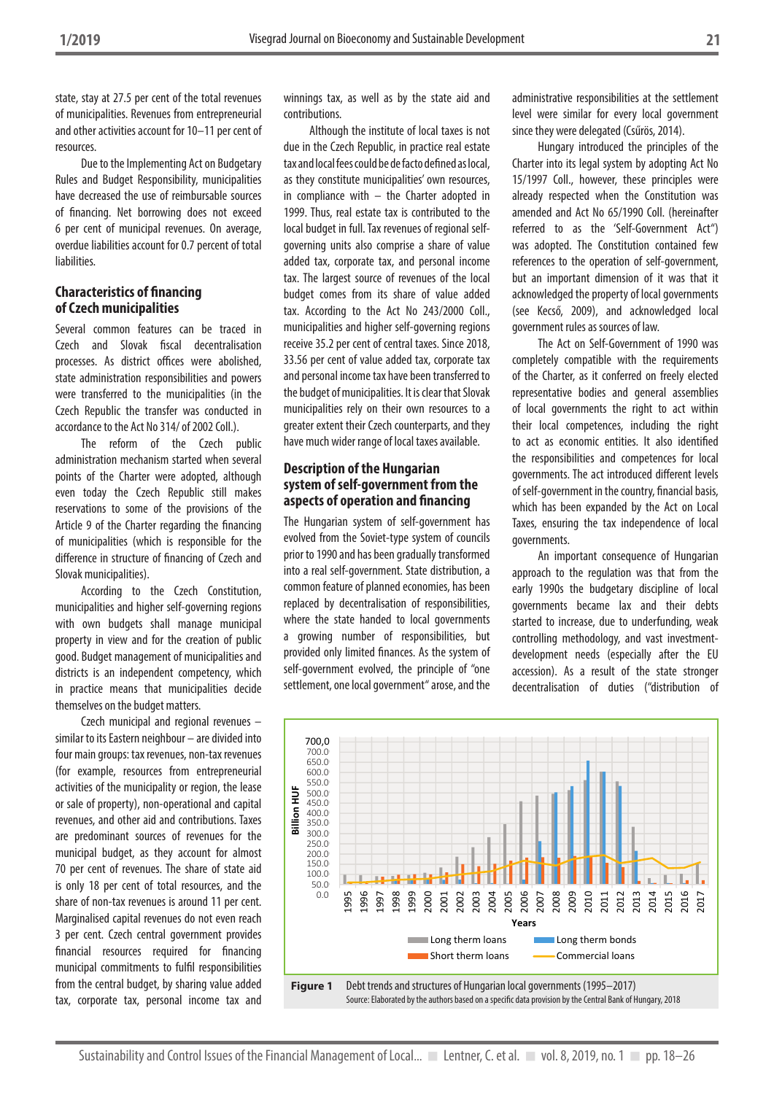state, stay at 27.5 per cent of the total revenues of municipalities. Revenues from entrepreneurial and other activities account for 10–11 per cent of resources.

Due to the Implementing Act on Budgetary Rules and Budget Responsibility, municipalities have decreased the use of reimbursable sources of financing. Net borrowing does not exceed 6 per cent of municipal revenues. On average, overdue liabilities account for 0.7 percent of total liabilities.

#### **Characteristics of financing of Czech municipalities**

Several common features can be traced in Czech and Slovak fiscal decentralisation processes. As district offices were abolished, state administration responsibilities and powers were transferred to the municipalities (in the Czech Republic the transfer was conducted in accordance to the Act No 314/ of 2002 Coll.).

The reform of the Czech public administration mechanism started when several points of the Charter were adopted, although even today the Czech Republic still makes reservations to some of the provisions of the Article 9 of the Charter regarding the financing of municipalities (which is responsible for the difference in structure of financing of Czech and Slovak municipalities).

According to the Czech Constitution, municipalities and higher self-governing regions with own budgets shall manage municipal property in view and for the creation of public good. Budget management of municipalities and districts is an independent competency, which in practice means that municipalities decide themselves on the budget matters.

Czech municipal and regional revenues – similar to its Eastern neighbour – are divided into four main groups: tax revenues, non-tax revenues (for example, resources from entrepreneurial activities of the municipality or region, the lease or sale of property), non-operational and capital revenues, and other aid and contributions. Taxes are predominant sources of revenues for the municipal budget, as they account for almost 70 per cent of revenues. The share of state aid is only 18 per cent of total resources, and the share of non-tax revenues is around 11 per cent. Marginalised capital revenues do not even reach 3 per cent. Czech central government provides financial resources required for financing municipal commitments to fulfil responsibilities from the central budget, by sharing value added tax, corporate tax, personal income tax and

winnings tax, as well as by the state aid and contributions.

Although the institute of local taxes is not due in the Czech Republic, in practice real estate tax and local fees could be de facto defined as local, as they constitute municipalities' own resources, in compliance with – the Charter adopted in 1999. Thus, real estate tax is contributed to the local budget in full. Tax revenues of regional selfgoverning units also comprise a share of value added tax, corporate tax, and personal income tax. The largest source of revenues of the local budget comes from its share of value added tax. According to the Act No 243/2000 Coll., municipalities and higher self-governing regions receive 35.2 per cent of central taxes. Since 2018, 33.56 per cent of value added tax, corporate tax and personal income tax have been transferred to the budget of municipalities. It is clear that Slovak municipalities rely on their own resources to a greater extent their Czech counterparts, and they have much wider range of local taxes available.

#### **Description of the Hungarian system of self-government from the aspects of operation and financing**

The Hungarian system of self-government has evolved from the Soviet-type system of councils prior to 1990 and has been gradually transformed into a real self-government. State distribution, a common feature of planned economies, has been replaced by decentralisation of responsibilities, where the state handed to local governments a growing number of responsibilities, but provided only limited finances. As the system of self-government evolved, the principle of "one settlement, one local government" arose, and the

administrative responsibilities at the settlement level were similar for every local government since they were delegated (Csűrös, 2014).

Hungary introduced the principles of the Charter into its legal system by adopting Act No 15/1997 Coll., however, these principles were already respected when the Constitution was amended and Act No 65/1990 Coll. (hereinafter referred to as the 'Self-Government Act") was adopted. The Constitution contained few references to the operation of self-government, but an important dimension of it was that it acknowledged the property of local governments (see Kecső, 2009), and acknowledged local government rules as sources of law.

The Act on Self-Government of 1990 was completely compatible with the requirements of the Charter, as it conferred on freely elected representative bodies and general assemblies of local governments the right to act within their local competences, including the right to act as economic entities. It also identified the responsibilities and competences for local governments. The act introduced different levels of self-government in the country, financial basis, which has been expanded by the Act on Local Taxes, ensuring the tax independence of local governments.

An important consequence of Hungarian approach to the regulation was that from the early 1990s the budgetary discipline of local governments became lax and their debts started to increase, due to underfunding, weak controlling methodology, and vast investmentdevelopment needs (especially after the EU accession). As a result of the state stronger decentralisation of duties ("distribution of

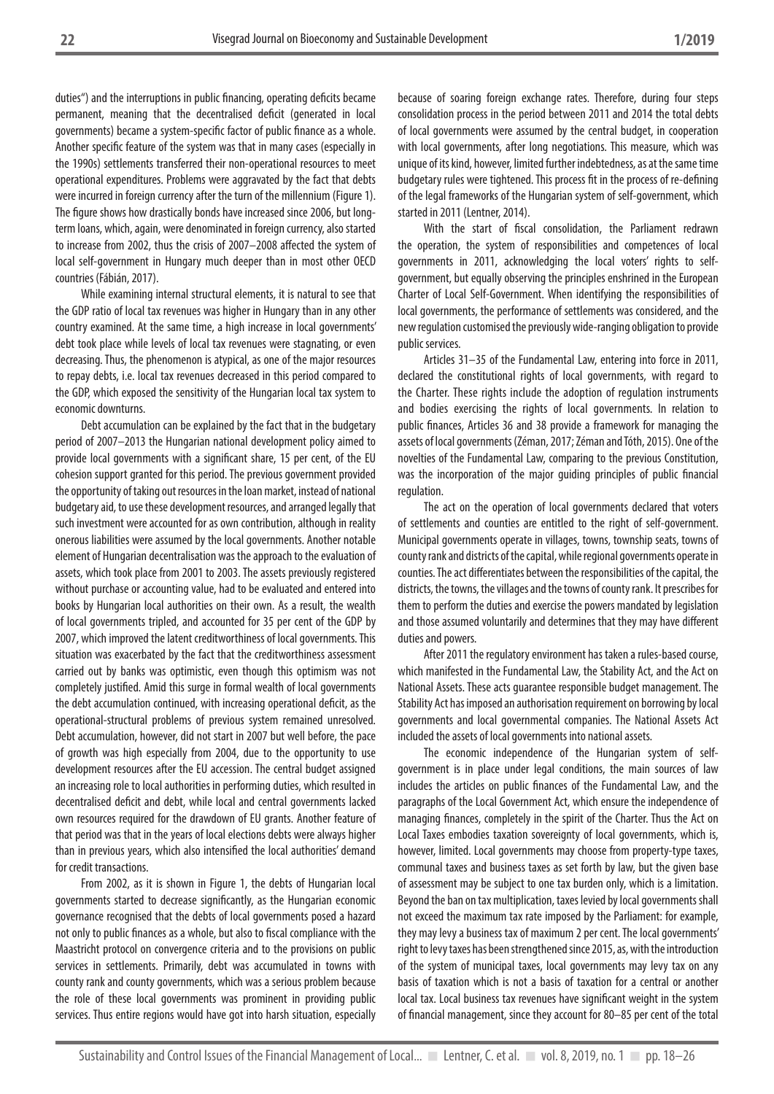duties") and the interruptions in public financing, operating deficits became permanent, meaning that the decentralised deficit (generated in local governments) became a system-specific factor of public finance as a whole. Another specific feature of the system was that in many cases (especially in the 1990s) settlements transferred their non-operational resources to meet operational expenditures. Problems were aggravated by the fact that debts were incurred in foreign currency after the turn of the millennium (Figure 1). The figure shows how drastically bonds have increased since 2006, but longterm loans, which, again, were denominated in foreign currency, also started to increase from 2002, thus the crisis of 2007–2008 affected the system of local self-government in Hungary much deeper than in most other OECD countries (Fábián, 2017).

While examining internal structural elements, it is natural to see that the GDP ratio of local tax revenues was higher in Hungary than in any other country examined. At the same time, a high increase in local governments' debt took place while levels of local tax revenues were stagnating, or even decreasing. Thus, the phenomenon is atypical, as one of the major resources to repay debts, i.e. local tax revenues decreased in this period compared to the GDP, which exposed the sensitivity of the Hungarian local tax system to economic downturns.

Debt accumulation can be explained by the fact that in the budgetary period of 2007–2013 the Hungarian national development policy aimed to provide local governments with a significant share, 15 per cent, of the EU cohesion support granted for this period. The previous government provided the opportunity of taking out resources in the loan market, instead of national budgetary aid, to use these development resources, and arranged legally that such investment were accounted for as own contribution, although in reality onerous liabilities were assumed by the local governments. Another notable element of Hungarian decentralisation was the approach to the evaluation of assets, which took place from 2001 to 2003. The assets previously registered without purchase or accounting value, had to be evaluated and entered into books by Hungarian local authorities on their own. As a result, the wealth of local governments tripled, and accounted for 35 per cent of the GDP by 2007, which improved the latent creditworthiness of local governments. This situation was exacerbated by the fact that the creditworthiness assessment carried out by banks was optimistic, even though this optimism was not completely justified. Amid this surge in formal wealth of local governments the debt accumulation continued, with increasing operational deficit, as the operational-structural problems of previous system remained unresolved. Debt accumulation, however, did not start in 2007 but well before, the pace of growth was high especially from 2004, due to the opportunity to use development resources after the EU accession. The central budget assigned an increasing role to local authorities in performing duties, which resulted in decentralised deficit and debt, while local and central governments lacked own resources required for the drawdown of EU grants. Another feature of that period was that in the years of local elections debts were always higher than in previous years, which also intensified the local authorities' demand for credit transactions.

From 2002, as it is shown in Figure 1, the debts of Hungarian local governments started to decrease significantly, as the Hungarian economic governance recognised that the debts of local governments posed a hazard not only to public finances as a whole, but also to fiscal compliance with the Maastricht protocol on convergence criteria and to the provisions on public services in settlements. Primarily, debt was accumulated in towns with county rank and county governments, which was a serious problem because the role of these local governments was prominent in providing public services. Thus entire regions would have got into harsh situation, especially because of soaring foreign exchange rates. Therefore, during four steps consolidation process in the period between 2011 and 2014 the total debts of local governments were assumed by the central budget, in cooperation with local governments, after long negotiations. This measure, which was unique of its kind, however, limited further indebtedness, as at the same time budgetary rules were tightened. This process fit in the process of re-defining of the legal frameworks of the Hungarian system of self-government, which started in 2011 (Lentner, 2014).

With the start of fiscal consolidation, the Parliament redrawn the operation, the system of responsibilities and competences of local governments in 2011, acknowledging the local voters' rights to selfgovernment, but equally observing the principles enshrined in the European Charter of Local Self-Government. When identifying the responsibilities of local governments, the performance of settlements was considered, and the new regulation customised the previously wide-ranging obligation to provide public services.

Articles 31–35 of the Fundamental Law, entering into force in 2011, declared the constitutional rights of local governments, with regard to the Charter. These rights include the adoption of regulation instruments and bodies exercising the rights of local governments. In relation to public finances, Articles 36 and 38 provide a framework for managing the assets of local governments (Zéman, 2017; Zéman and Tóth, 2015). One of the novelties of the Fundamental Law, comparing to the previous Constitution, was the incorporation of the major guiding principles of public financial regulation.

The act on the operation of local governments declared that voters of settlements and counties are entitled to the right of self-government. Municipal governments operate in villages, towns, township seats, towns of county rank and districts of the capital, while regional governments operate in counties. The act differentiates between the responsibilities of the capital, the districts, the towns, the villages and the towns of county rank. It prescribes for them to perform the duties and exercise the powers mandated by legislation and those assumed voluntarily and determines that they may have different duties and powers.

After 2011 the regulatory environment has taken a rules-based course, which manifested in the Fundamental Law, the Stability Act, and the Act on National Assets. These acts guarantee responsible budget management. The Stability Act has imposed an authorisation requirement on borrowing by local governments and local governmental companies. The National Assets Act included the assets of local governments into national assets.

The economic independence of the Hungarian system of selfgovernment is in place under legal conditions, the main sources of law includes the articles on public finances of the Fundamental Law, and the paragraphs of the Local Government Act, which ensure the independence of managing finances, completely in the spirit of the Charter. Thus the Act on Local Taxes embodies taxation sovereignty of local governments, which is, however, limited. Local governments may choose from property-type taxes, communal taxes and business taxes as set forth by law, but the given base of assessment may be subject to one tax burden only, which is a limitation. Beyond the ban on tax multiplication, taxes levied by local governments shall not exceed the maximum tax rate imposed by the Parliament: for example, they may levy a business tax of maximum 2 per cent. The local governments' right to levy taxes has been strengthened since 2015, as, with the introduction of the system of municipal taxes, local governments may levy tax on any basis of taxation which is not a basis of taxation for a central or another local tax. Local business tax revenues have significant weight in the system of financial management, since they account for 80–85 per cent of the total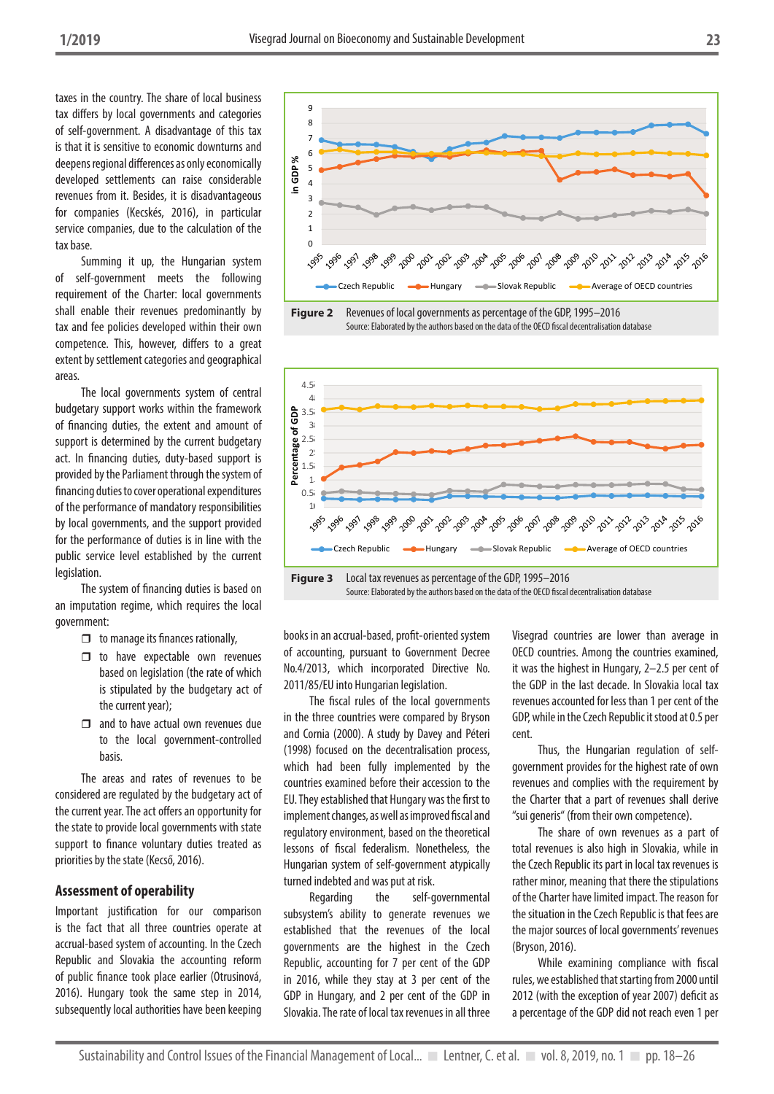taxes in the country. The share of local business tax differs by local governments and categories of self-government. A disadvantage of this tax is that it is sensitive to economic downturns and deepens regional differences as only economically developed settlements can raise considerable revenues from it. Besides, it is disadvantageous for companies (Kecskés, 2016), in particular service companies, due to the calculation of the tax base.

Summing it up, the Hungarian system of self-government meets the following requirement of the Charter: local governments shall enable their revenues predominantly by tax and fee policies developed within their own competence. This, however, differs to a great extent by settlement categories and geographical areas.

The local governments system of central budgetary support works within the framework of financing duties, the extent and amount of support is determined by the current budgetary act. In financing duties, duty-based support is provided by the Parliament through the system of financing duties to cover operational expenditures of the performance of mandatory responsibilities by local governments, and the support provided for the performance of duties is in line with the public service level established by the current legislation.

The system of financing duties is based on an imputation regime, which requires the local government:

- $\Box$  to manage its finances rationally,
- $\Box$  to have expectable own revenues based on legislation (the rate of which is stipulated by the budgetary act of the current year);
- $\Box$  and to have actual own revenues due to the local government-controlled basis.

The areas and rates of revenues to be considered are regulated by the budgetary act of the current year. The act offers an opportunity for the state to provide local governments with state support to finance voluntary duties treated as priorities by the state (Kecső, 2016).

#### **Assessment of operability**

Important justification for our comparison is the fact that all three countries operate at accrual-based system of accounting. In the Czech Republic and Slovakia the accounting reform of public finance took place earlier (Otrusinová, 2016). Hungary took the same step in 2014, subsequently local authorities have been keeping







books in an accrual-based, profit-oriented system of accounting, pursuant to Government Decree No.4/2013, which incorporated Directive No. 2011/85/EU into Hungarian legislation.

The fiscal rules of the local governments in the three countries were compared by Bryson and Cornia (2000). A study by Davey and Péteri (1998) focused on the decentralisation process, which had been fully implemented by the countries examined before their accession to the EU. They established that Hungary was the first to implement changes, as well as improved fiscal and regulatory environment, based on the theoretical lessons of fiscal federalism. Nonetheless, the Hungarian system of self-government atypically turned indebted and was put at risk.

Regarding the self-governmental subsystem's ability to generate revenues we established that the revenues of the local governments are the highest in the Czech Republic, accounting for 7 per cent of the GDP in 2016, while they stay at 3 per cent of the GDP in Hungary, and 2 per cent of the GDP in Slovakia. The rate of local tax revenues in all three

Visegrad countries are lower than average in OECD countries. Among the countries examined, it was the highest in Hungary, 2–2.5 per cent of the GDP in the last decade. In Slovakia local tax revenues accounted for less than 1 per cent of the GDP, while in the Czech Republic it stood at 0.5 per cent.

Thus, the Hungarian regulation of selfgovernment provides for the highest rate of own revenues and complies with the requirement by the Charter that a part of revenues shall derive "sui generis" (from their own competence).

The share of own revenues as a part of total revenues is also high in Slovakia, while in the Czech Republic its part in local tax revenues is rather minor, meaning that there the stipulations of the Charter have limited impact. The reason for the situation in the Czech Republic is that fees are the major sources of local governments' revenues (Bryson, 2016).

While examining compliance with fiscal rules, we established that starting from 2000 until 2012 (with the exception of year 2007) deficit as a percentage of the GDP did not reach even 1 per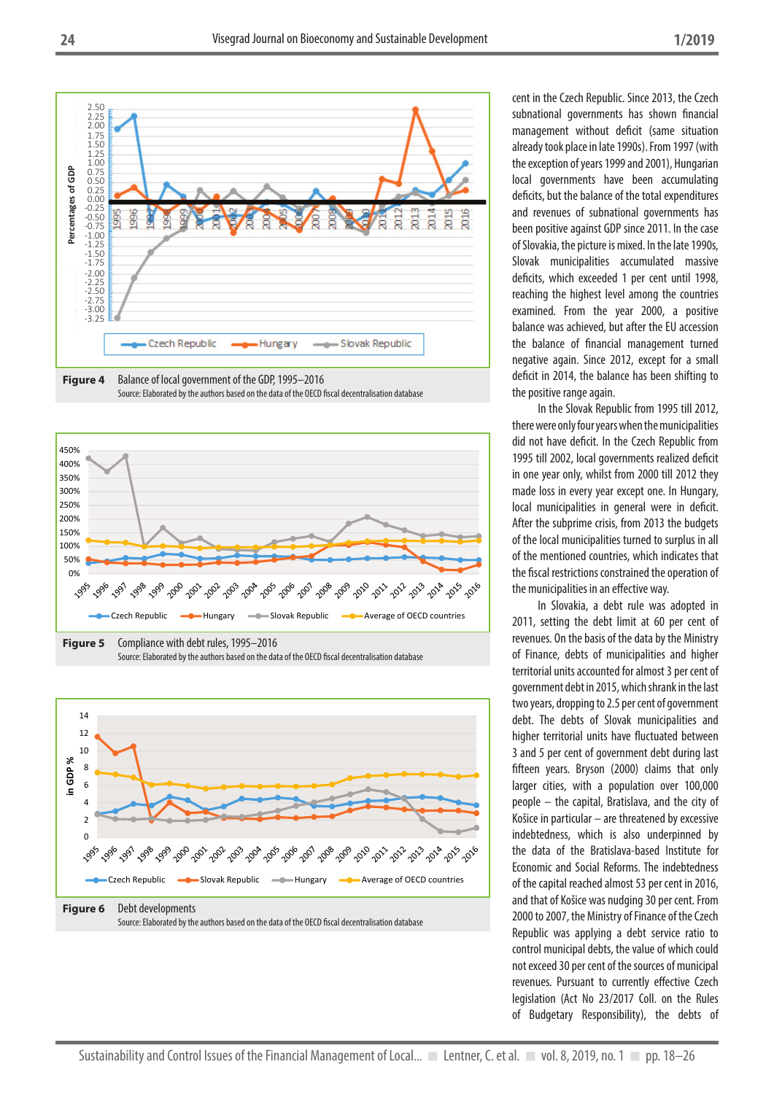







cent in the Czech Republic. Since 2013, the Czech subnational governments has shown financial management without deficit (same situation already took place in late 1990s). From 1997 (with the exception of years 1999 and 2001), Hungarian local governments have been accumulating deficits, but the balance of the total expenditures and revenues of subnational governments has been positive against GDP since 2011. In the case of Slovakia, the picture is mixed. In the late 1990s, Slovak municipalities accumulated massive deficits, which exceeded 1 per cent until 1998, reaching the highest level among the countries examined. From the year 2000, a positive balance was achieved, but after the EU accession the balance of financial management turned negative again. Since 2012, except for a small deficit in 2014, the balance has been shifting to the positive range again.

In the Slovak Republic from 1995 till 2012, there were only four years when the municipalities did not have deficit. In the Czech Republic from 1995 till 2002, local governments realized deficit in one year only, whilst from 2000 till 2012 they made loss in every year except one. In Hungary, local municipalities in general were in deficit. After the subprime crisis, from 2013 the budgets of the local municipalities turned to surplus in all of the mentioned countries, which indicates that the fiscal restrictions constrained the operation of the municipalities in an effective way.

In Slovakia, a debt rule was adopted in 2011, setting the debt limit at 60 per cent of revenues. On the basis of the data by the Ministry of Finance, debts of municipalities and higher territorial units accounted for almost 3 per cent of government debt in 2015, which shrank in the last two years, dropping to 2.5 per cent of government debt. The debts of Slovak municipalities and higher territorial units have fluctuated between 3 and 5 per cent of government debt during last fifteen years. Bryson (2000) claims that only larger cities, with a population over 100,000 people – the capital, Bratislava, and the city of Košice in particular – are threatened by excessive indebtedness, which is also underpinned by the data of the Bratislava-based Institute for Economic and Social Reforms. The indebtedness of the capital reached almost 53 per cent in 2016, and that of Košice was nudging 30 per cent. From 2000 to 2007, the Ministry of Finance of the Czech Republic was applying a debt service ratio to control municipal debts, the value of which could not exceed 30 per cent of the sources of municipal revenues. Pursuant to currently effective Czech legislation (Act No 23/2017 Coll. on the Rules of Budgetary Responsibility), the debts of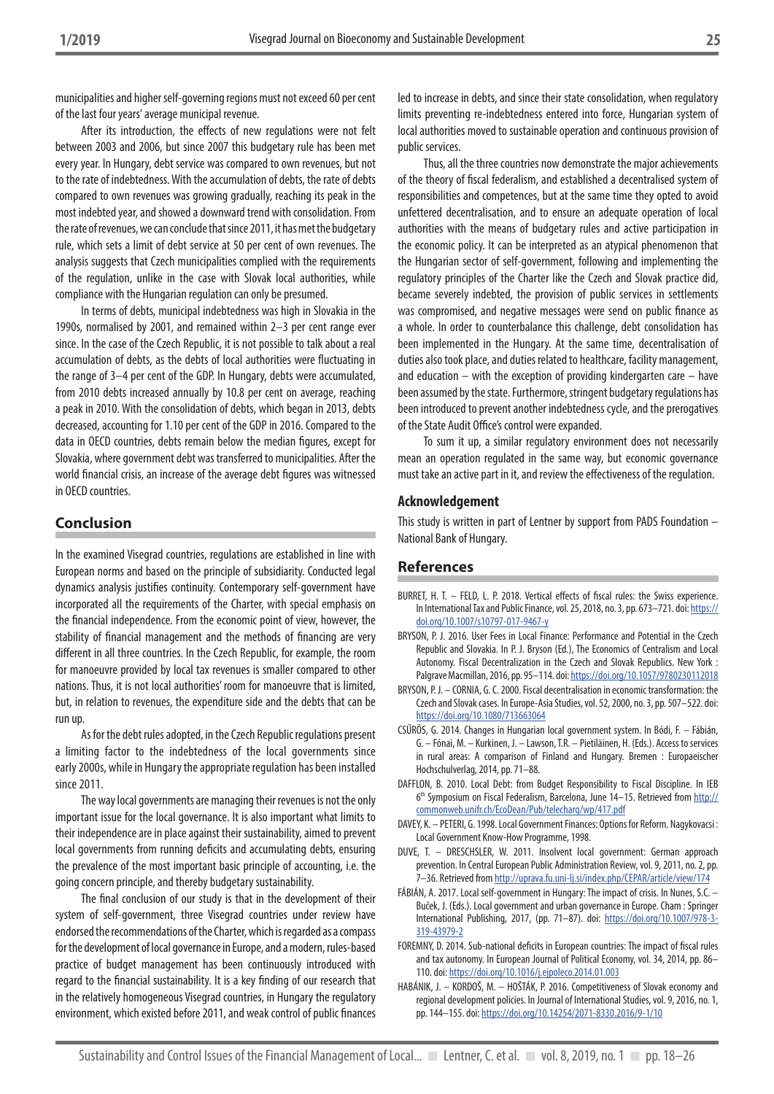municipalities and higher self-governing regions must not exceed 60 per cent of the last four years' average municipal revenue.

After its introduction, the effects of new regulations were not felt between 2003 and 2006, but since 2007 this budgetary rule has been met every year. In Hungary, debt service was compared to own revenues, but not to the rate of indebtedness. With the accumulation of debts, the rate of debts compared to own revenues was growing gradually, reaching its peak in the most indebted year, and showed a downward trend with consolidation. From the rate of revenues, we can conclude that since 2011, it has met the budgetary rule, which sets a limit of debt service at 50 per cent of own revenues. The analysis suggests that Czech municipalities complied with the requirements of the regulation, unlike in the case with Slovak local authorities, while compliance with the Hungarian regulation can only be presumed.

In terms of debts, municipal indebtedness was high in Slovakia in the 1990s, normalised by 2001, and remained within 2–3 per cent range ever since. In the case of the Czech Republic, it is not possible to talk about a real accumulation of debts, as the debts of local authorities were fluctuating in the range of 3–4 per cent of the GDP. In Hungary, debts were accumulated, from 2010 debts increased annually by 10.8 per cent on average, reaching a peak in 2010. With the consolidation of debts, which began in 2013, debts decreased, accounting for 1.10 per cent of the GDP in 2016. Compared to the data in OECD countries, debts remain below the median figures, except for Slovakia, where government debt was transferred to municipalities. After the world financial crisis, an increase of the average debt figures was witnessed in OECD countries.

# **Conclusion**

In the examined Visegrad countries, regulations are established in line with European norms and based on the principle of subsidiarity. Conducted legal dynamics analysis justifies continuity. Contemporary self-government have incorporated all the requirements of the Charter, with special emphasis on the financial independence. From the economic point of view, however, the stability of financial management and the methods of financing are very different in all three countries. In the Czech Republic, for example, the room for manoeuvre provided by local tax revenues is smaller compared to other nations. Thus, it is not local authorities' room for manoeuvre that is limited, but, in relation to revenues, the expenditure side and the debts that can be run up.

As for the debt rules adopted, in the Czech Republic regulations present a limiting factor to the indebtedness of the local governments since early 2000s, while in Hungary the appropriate regulation has been installed since 2011.

The way local governments are managing their revenues is not the only important issue for the local governance. It is also important what limits to their independence are in place against their sustainability, aimed to prevent local governments from running deficits and accumulating debts, ensuring the prevalence of the most important basic principle of accounting, i.e. the going concern principle, and thereby budgetary sustainability.

The final conclusion of our study is that in the development of their system of self-government, three Visegrad countries under review have endorsed the recommendations of the Charter, which is regarded as a compass for the development of local governance in Europe, and a modern, rules-based practice of budget management has been continuously introduced with regard to the financial sustainability. It is a key finding of our research that in the relatively homogeneous Visegrad countries, in Hungary the regulatory environment, which existed before 2011, and weak control of public finances led to increase in debts, and since their state consolidation, when regulatory limits preventing re-indebtedness entered into force, Hungarian system of local authorities moved to sustainable operation and continuous provision of public services.

Thus, all the three countries now demonstrate the major achievements of the theory of fiscal federalism, and established a decentralised system of responsibilities and competences, but at the same time they opted to avoid unfettered decentralisation, and to ensure an adequate operation of local authorities with the means of budgetary rules and active participation in the economic policy. It can be interpreted as an atypical phenomenon that the Hungarian sector of self-government, following and implementing the regulatory principles of the Charter like the Czech and Slovak practice did, became severely indebted, the provision of public services in settlements was compromised, and negative messages were send on public finance as a whole. In order to counterbalance this challenge, debt consolidation has been implemented in the Hungary. At the same time, decentralisation of duties also took place, and duties related to healthcare, facility management, and education  $-$  with the exception of providing kindergarten care  $-$  have been assumed by the state. Furthermore, stringent budgetary regulations has been introduced to prevent another indebtedness cycle, and the prerogatives of the State Audit Office's control were expanded.

To sum it up, a similar regulatory environment does not necessarily mean an operation regulated in the same way, but economic governance must take an active part in it, and review the effectiveness of the regulation.

#### **Acknowledgement**

This study is written in part of Lentner by support from PADS Foundation – National Bank of Hungary.

#### **References**

- BURRET, H. T. FELD, L. P. 2018. Vertical effects of fiscal rules: the Swiss experience. In International Tax and Public Finance, vol. 25, 2018, no. 3, pp. 673–721. doi: https:// doi.org/10.1007/s10797-017-9467-y
- BRYSON, P. J. 2016. User Fees in Local Finance: Performance and Potential in the Czech Republic and Slovakia. In P. J. Bryson (Ed.), The Economics of Centralism and Local Autonomy. Fiscal Decentralization in the Czech and Slovak Republics. New York : Palgrave Macmillan, 2016, pp. 95–114. doi: https://doi.org/10.1057/9780230112018
- BRYSON, P. J. CORNIA, G. C. 2000. Fiscal decentralisation in economic transformation: the Czech and Slovak cases. In Europe-Asia Studies, vol. 52, 2000, no. 3, pp. 507–522. doi: https://doi.org/10.1080/713663064
- CSŰRÖS, G. 2014. Changes in Hungarian local government system. In Bódi, F. Fábián, G. – Fónai, M. – Kurkinen, J. – Lawson, T.R. – Pietiläinen, H. (Eds.). Access to services in rural areas: A comparison of Finland and Hungary. Bremen : Europaeischer Hochschulverlag, 2014, pp. 71–88.
- DAFFLON, B. 2010. Local Debt: from Budget Responsibility to Fiscal Discipline. In IEB 6<sup>th</sup> Symposium on Fiscal Federalism, Barcelona, June 14–15. Retrieved from http:// commonweb.unifr.ch/EcoDean/Pub/telecharg/wp/417.pdf
- DAVEY, K. PETERI, G. 1998. Local Government Finances: Options for Reform. Nagykovacsi : Local Government Know-How Programme, 1998.
- DUVE, T. DRESCHSLER, W. 2011. Insolvent local government: German approach prevention. In Central European Public Administration Review, vol. 9, 2011, no. 2, pp. 7–36. Retrieved from http://uprava.fu.uni-lj.si/index.php/CEPAR/article/view/174
- FÁBIÁN, A. 2017. Local self-government in Hungary: The impact of crisis. In Nunes, S.C. Buček, J. (Eds.). Local government and urban governance in Europe. Cham : Springer International Publishing, 2017, (pp. 71–87). doi: https://doi.org/10.1007/978-3- 319-43979-2
- FOREMNY, D. 2014. Sub-national deficits in European countries: The impact of fiscal rules and tax autonomy. In European Journal of Political Economy, vol. 34, 2014, pp. 86– 110. doi: https://doi.org/10.1016/j.ejpoleco.2014.01.003
- HABÁNIK, J. KORDOŠ, M. HOŠTÁK, P. 2016. Competitiveness of Slovak economy and regional development policies. In Journal of International Studies, vol. 9, 2016, no. 1, pp. 144–155. doi: https://doi.org/10.14254/2071-8330.2016/9-1/10